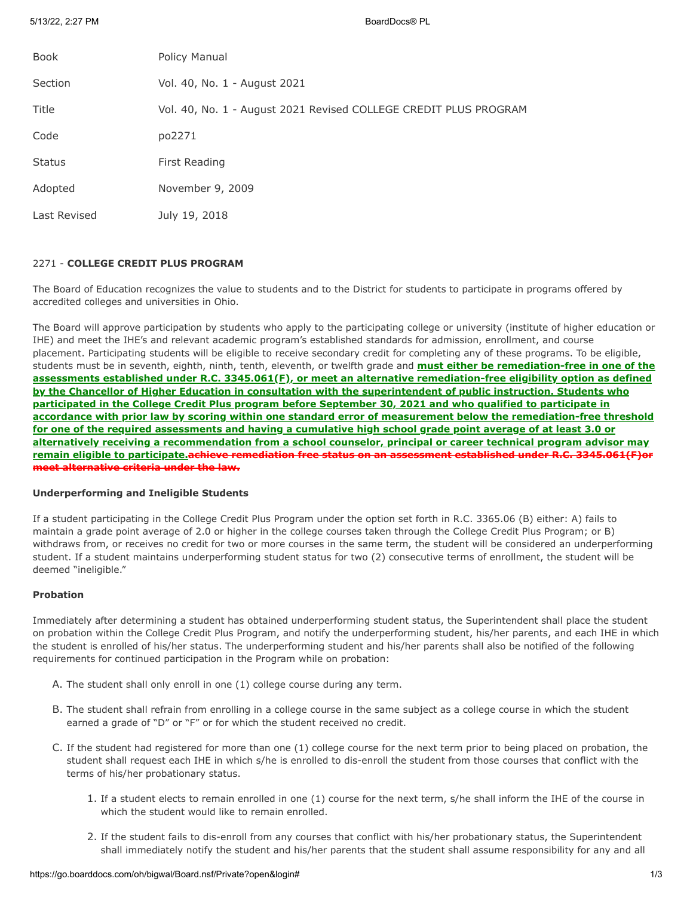5/13/22, 2:27 PM BoardDocs® PL

| <b>Book</b>   | Policy Manual                                                    |
|---------------|------------------------------------------------------------------|
| Section       | Vol. 40, No. 1 - August 2021                                     |
| Title         | Vol. 40, No. 1 - August 2021 Revised COLLEGE CREDIT PLUS PROGRAM |
| Code          | po2271                                                           |
| <b>Status</b> | First Reading                                                    |
| Adopted       | November 9, 2009                                                 |
| Last Revised  | July 19, 2018                                                    |

# 2271 - **COLLEGE CREDIT PLUS PROGRAM**

The Board of Education recognizes the value to students and to the District for students to participate in programs offered by accredited colleges and universities in Ohio.

The Board will approve participation by students who apply to the participating college or university (institute of higher education or IHE) and meet the IHE's and relevant academic program's established standards for admission, enrollment, and course placement. Participating students will be eligible to receive secondary credit for completing any of these programs. To be eligible, students must be in seventh, eighth, ninth, tenth, eleventh, or twelfth grade and **must either be remediation-free in one of the assessments established under R.C. 3345.061(F), or meet an alternative remediation-free eligibility option as defined by the Chancellor of Higher Education in consultation with the superintendent of public instruction. Students who participated in the College Credit Plus program before September 30, 2021 and who qualified to participate in accordance with prior law by scoring within one standard error of measurement below the remediation-free threshold for one of the required assessments and having a cumulative high school grade point average of at least 3.0 or alternatively receiving a recommendation from a school counselor, principal or career technical program advisor may remain eligible to participate.achieve remediation free status on an assessment established under R.C. 3345.061(F)or meet alternative criteria under the law.**

#### **Underperforming and Ineligible Students**

If a student participating in the College Credit Plus Program under the option set forth in R.C. 3365.06 (B) either: A) fails to maintain a grade point average of 2.0 or higher in the college courses taken through the College Credit Plus Program; or B) withdraws from, or receives no credit for two or more courses in the same term, the student will be considered an underperforming student. If a student maintains underperforming student status for two (2) consecutive terms of enrollment, the student will be deemed "ineligible."

# **Probation**

Immediately after determining a student has obtained underperforming student status, the Superintendent shall place the student on probation within the College Credit Plus Program, and notify the underperforming student, his/her parents, and each IHE in which the student is enrolled of his/her status. The underperforming student and his/her parents shall also be notified of the following requirements for continued participation in the Program while on probation:

- A. The student shall only enroll in one (1) college course during any term.
- B. The student shall refrain from enrolling in a college course in the same subject as a college course in which the student earned a grade of "D" or "F" or for which the student received no credit.
- C. If the student had registered for more than one (1) college course for the next term prior to being placed on probation, the student shall request each IHE in which s/he is enrolled to dis-enroll the student from those courses that conflict with the terms of his/her probationary status.
	- 1. If a student elects to remain enrolled in one (1) course for the next term, s/he shall inform the IHE of the course in which the student would like to remain enrolled.
	- 2. If the student fails to dis-enroll from any courses that conflict with his/her probationary status, the Superintendent shall immediately notify the student and his/her parents that the student shall assume responsibility for any and all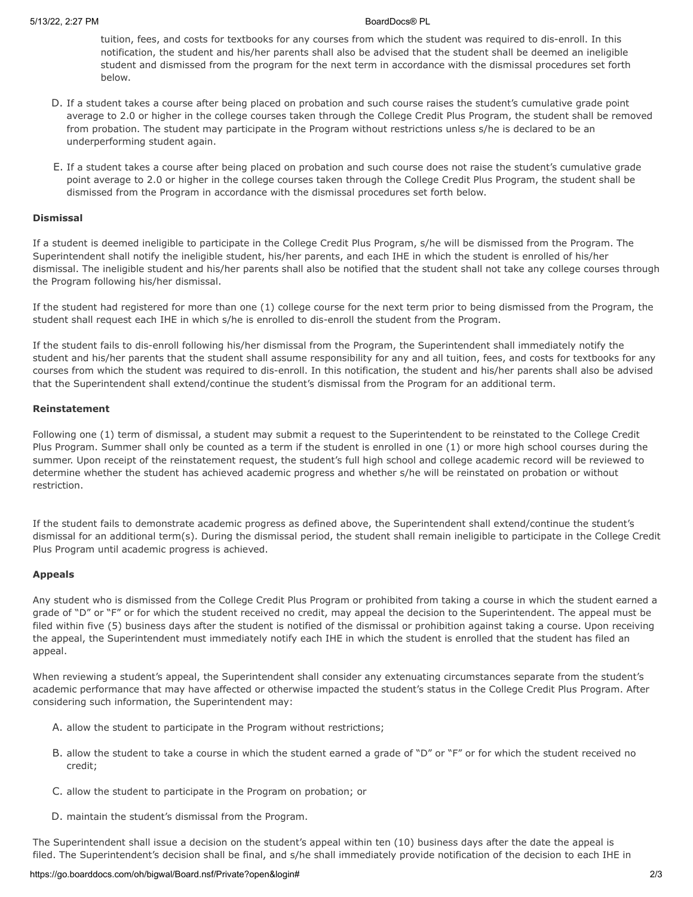tuition, fees, and costs for textbooks for any courses from which the student was required to dis-enroll. In this notification, the student and his/her parents shall also be advised that the student shall be deemed an ineligible student and dismissed from the program for the next term in accordance with the dismissal procedures set forth below.

- D. If a student takes a course after being placed on probation and such course raises the student's cumulative grade point average to 2.0 or higher in the college courses taken through the College Credit Plus Program, the student shall be removed from probation. The student may participate in the Program without restrictions unless s/he is declared to be an underperforming student again.
- E. If a student takes a course after being placed on probation and such course does not raise the student's cumulative grade point average to 2.0 or higher in the college courses taken through the College Credit Plus Program, the student shall be dismissed from the Program in accordance with the dismissal procedures set forth below.

#### **Dismissal**

If a student is deemed ineligible to participate in the College Credit Plus Program, s/he will be dismissed from the Program. The Superintendent shall notify the ineligible student, his/her parents, and each IHE in which the student is enrolled of his/her dismissal. The ineligible student and his/her parents shall also be notified that the student shall not take any college courses through the Program following his/her dismissal.

If the student had registered for more than one (1) college course for the next term prior to being dismissed from the Program, the student shall request each IHE in which s/he is enrolled to dis-enroll the student from the Program.

If the student fails to dis-enroll following his/her dismissal from the Program, the Superintendent shall immediately notify the student and his/her parents that the student shall assume responsibility for any and all tuition, fees, and costs for textbooks for any courses from which the student was required to dis-enroll. In this notification, the student and his/her parents shall also be advised that the Superintendent shall extend/continue the student's dismissal from the Program for an additional term.

### **Reinstatement**

Following one (1) term of dismissal, a student may submit a request to the Superintendent to be reinstated to the College Credit Plus Program. Summer shall only be counted as a term if the student is enrolled in one (1) or more high school courses during the summer. Upon receipt of the reinstatement request, the student's full high school and college academic record will be reviewed to determine whether the student has achieved academic progress and whether s/he will be reinstated on probation or without restriction.

If the student fails to demonstrate academic progress as defined above, the Superintendent shall extend/continue the student's dismissal for an additional term(s). During the dismissal period, the student shall remain ineligible to participate in the College Credit Plus Program until academic progress is achieved.

### **Appeals**

Any student who is dismissed from the College Credit Plus Program or prohibited from taking a course in which the student earned a grade of "D" or "F" or for which the student received no credit, may appeal the decision to the Superintendent. The appeal must be filed within five (5) business days after the student is notified of the dismissal or prohibition against taking a course. Upon receiving the appeal, the Superintendent must immediately notify each IHE in which the student is enrolled that the student has filed an appeal.

When reviewing a student's appeal, the Superintendent shall consider any extenuating circumstances separate from the student's academic performance that may have affected or otherwise impacted the student's status in the College Credit Plus Program. After considering such information, the Superintendent may:

- A. allow the student to participate in the Program without restrictions;
- B. allow the student to take a course in which the student earned a grade of "D" or "F" or for which the student received no credit;
- C. allow the student to participate in the Program on probation; or
- D. maintain the student's dismissal from the Program.

The Superintendent shall issue a decision on the student's appeal within ten (10) business days after the date the appeal is filed. The Superintendent's decision shall be final, and s/he shall immediately provide notification of the decision to each IHE in